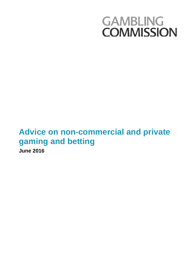# **GAMBLING COMMISSION**

## **Advice on non-commercial and private gaming and betting June 2016**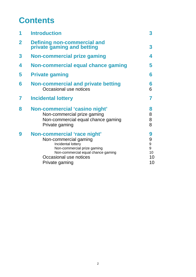## **Contents**

| <b>Introduction</b>                                                                                                                                                                         | 3                                  |
|---------------------------------------------------------------------------------------------------------------------------------------------------------------------------------------------|------------------------------------|
| <b>Defining non-commercial and<br/>private gaming and betting</b>                                                                                                                           | 3                                  |
| <b>Non-commercial prize gaming</b>                                                                                                                                                          | 4                                  |
| Non-commercial equal chance gaming                                                                                                                                                          | 5                                  |
| <b>Private gaming</b>                                                                                                                                                                       | 6                                  |
| <b>Non-commercial and private betting</b><br>Occasional use notices                                                                                                                         | 6<br>6                             |
| <b>Incidental lottery</b>                                                                                                                                                                   | 7                                  |
| Non-commercial 'casino night'<br>Non-commercial prize gaming<br>Non-commercial equal chance gaming<br>Private gaming                                                                        | 8<br>8<br>8<br>8                   |
| Non-commercial 'race night'<br>Non-commercial gaming<br>Incidental lottery<br>Non-commercial prize gaming<br>Non-commercial equal chance gaming<br>Occasional use notices<br>Private gaming | 9<br>9<br>9<br>9<br>10<br>10<br>10 |
|                                                                                                                                                                                             |                                    |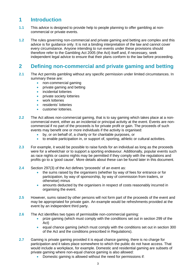## **1 Introduction**

- **1.1** This advice is designed to provide help to people planning to offer gambling at noncommercial or private events.
- **1.2** The rules governing non-commercial and private gaming and betting are complex and this advice is for guidance only. It is not a binding interpretation of the law and cannot cover every circumstance. Anyone intending to run events under these provisions should therefore refer to the Gambling Act 2005 (the Act) itself and, if necessary, seek independent legal advice to ensure that their plans conform to the law before proceeding.

## **2 Defining non-commercial and private gaming and betting**

- **2.1** The Act permits gambling without any specific permission under limited circumstances. In summary these are:
	- non-commercial gaming
	- private gaming and betting
	- incidental lotteries
	- private society lotteries
	- work lotteries
	- residents' lotteries
	- customer lotteries.
- **2.2** The Act allows non-commercial gaming, that is to say gaming which takes place at a noncommercial event, either as an incidental or principal activity at the event. Events are noncommercial if no part of the proceeds is for private profit or gain. The proceeds of such events may benefit one or more individuals if the activity is organised:
	- by, or on behalf of, a charity or for charitable purposes, or
	- to enable participation in, or support of, sporting, athletic or cultural activities.
- **2.3** For example, it would be possible to raise funds for an individual as long as the proceeds were for a wheelchair or to support a sporting endeavour. Additionally, popular events such as race nights or casino nights may be permitted if they comply with the regulations and profits go to a 'good cause'. More details about these can be found later in this document.
- **2.4** Section 297(3) of the Act defines **'**proceeds' of an event as:
	- the sums raised by the organisers (whether by way of fees for entrance or for participation, by way of sponsorship, by way of commission from traders, or otherwise) minus
	- amounts deducted by the organisers in respect of costs reasonably incurred in organising the event.
- **2.5** However, sums raised by other persons will not form part of the proceeds of the event and may be appropriated for private gain. An example would be refreshments provided at the event by an independent third party.
- **2.6** The Act identifies two types of permissible non-commercial gaming:
	- prize gaming (which must comply with the conditions set out in section 299 of the Act)
	- equal chance gaming (which must comply with the conditions set out in section 300 of the Act and the conditions prescribed in Regulations).
- **2.7** Gaming is private gaming provided it is equal chance gaming, there is no charge for participation and it takes place somewhere to which the public do not have access. That would include a workplace, for example. Domestic and residential gaming are subsets of private gaming where non-equal chance gaming is also allowed:
	- Domestic gaming is allowed without the need for permissions if: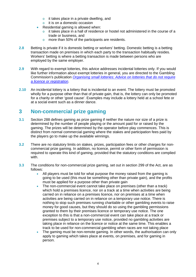- o it takes place in a private dwelling, and
- o it is on a domestic occasion
- Residential gaming is allowed when:
	- o it takes place in a hall of residence or hostel not administered in the course of a trade or business, and
	- o more than 50% of the participants are residents.
- **2.8** Betting is private if it is domestic betting or workers' betting. Domestic betting is a betting transaction made on premises in which each party to the transaction habitually resides. Workers' betting is where a betting transaction is made between persons who are employed by the same employer.
- **2.9** With regard to exempt lotteries, this advice addresses incidental lotteries only. If you would like further information about exempt lotteries in general, you are directed to the Gambling Commission's publication *[Organising small lotteries: Advice on lotteries that do not require](http://www.gamblingcommission.gov.uk/pdf/organising-small-lotteries.pdf)  [a licence or registration](http://www.gamblingcommission.gov.uk/pdf/organising-small-lotteries.pdf)*.
- **2.10** An incidental lottery is a lottery that is incidental to an event. The lottery must be promoted wholly for a purpose other than that of private gain, that is, the lottery can only be promoted for a charity or other 'good cause'. Examples may include a lottery held at a school fete or at a social event such as a dinner dance.

## **3 Non-commercial prize gaming**

- **3.1** Section 288 defines gaming as prize gaming if neither the nature nor size of a prize is determined by the number of people playing or the amount paid for or raised by the gaming. The prizes will be determined by the operator before play commences. This is distinct from normal commercial gaming where the stakes and participation fees paid by the players go to make up the available winnings.
- **3.2** There are no statutory limits on stakes, prizes, participation fees or other charges for noncommercial prize gaming. In addition, no licence, permit or other form of permission is required to operate this kind of gaming, provided that the statutory conditions are complied with.
- **3.3** The conditions for non-commercial prize gaming, set out in section 299 of the Act, are as follows:
	- All players must be told for what purpose the money raised from the gaming is going to be used (this must be something other than private gain), and the profits must be applied for a purpose other than private gain
	- The non-commercial event cannot take place on premises (other than a track) which hold a premises licence, nor on a track at a time when activities are being carried on in reliance on a premises licence, nor on premises at a time when activities are being carried on in reliance on a temporary use notice. There is nothing to stop such premises running charitable or other gambling events to raise money for good causes, but they should do so using the gambling permissions granted to them by their premises licence or temporary use notice. The one exception to this is that a non-commercial event can take place at a track or premises subject to a temporary use notice, provided no gambling activities are taking place in reliance on the licence or notice at the same time. This enables a track to be used for non-commercial gambling when races are not taking place
	- The gaming must be non-remote gaming. In other words, the authorisation can only apply to gaming which takes place at events, on premises, and for gaming in person.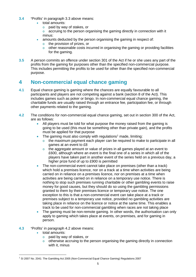- **3.4 '**Profits' in paragraph 3.3 above means:
	- total amounts:
		- o paid by way of stakes, or
		- o accruing to the person organising the gaming directly in connection with it minus:
		- amounts deducted by the person organising the gaming in respect of:
			- o the provision of prizes, or
			- $\circ$  other reasonable costs incurred in organising the gaming or providing facilities for the gaming.
- **3.5** A person commits an offence under section 301 of the Act if he or she uses any part of the profits from the gaming for purposes other than the specified non-commercial purpose. This includes permitting the profits to be used for other than the specified non-commercial purpose.

## **4 Non-commercial equal chance gaming**

- **4.1** Equal chance gaming is gaming where the chances are equally favourable to all participants and players are not competing against a bank (section 8 of the Act). This includes games such as poker or bingo. In non-commercial equal chance gaming, the charitable funds are usually raised through an entrance fee, participation fee, or through other payments related to the gaming.
- **4.2** The conditions for non-commercial equal chance gaming, set out in section 300 of the Act, are as follows:
	- All players must be told for what purpose the money raised from the gaming is going to be used (this must be something other than private gain), and the profits must be applied for that purpose
	- The gaming must also comply with regulations<sup>[1](#page-4-0)</sup> made, limiting:
		- o the maximum payment each player can be required to make to participate in all games at an event to £8
		- o the aggregate amount or value of prizes in all games played at an event to £600, although where an event is the final one of a series in which all of the players have taken part in another event of the series held on a previous day, a higher prize fund of up to £900 is permitted
	- The non-commercial event cannot take place on premises (other than a track) which hold a premises licence, nor on a track at a time when activities are being carried on in reliance on a premises licence, nor on premises at a time when activities are being carried on in reliance on a temporary use notice. There is nothing to stop such premises running charitable or other gambling events to raise money for good causes, but they should do so using the gambling permissions granted to them by their premises licence or temporary use notice. The one exception to this is that a non-commercial event can take place at a track or premises subject to a temporary use notice, provided no gambling activities are taking place in reliance on the licence or notice at the same time. This enables a track to be used for non-commercial gambling when races are not taking place
	- The gaming must be non-remote gaming. In other words, the authorisation can only apply to gaming which takes place at events, on premises, and for gaming in person.
- **4.3 '**Profits' in paragraph 4.2 above means:
	- total amounts:
		- o paid by way of stakes, or
		- $\circ$  otherwise accruing to the person organising the gaming directly in connection with it, minus

<span id="page-4-0"></span> $1$  SI 2007 No. 2041: The Gambling Act 2005 (Non-Commercial Equal Chance Gaming) Regulations 2007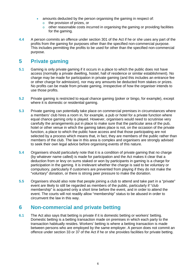- amounts deducted by the person organising the gaming in respect of:
	- o the provision of prizes, or
	- o other reasonable costs incurred in organising the gaming or providing facilities for the gaming.
- **4.4** A person commits an offence under section 301 of the Act if he or she uses any part of the profits from the gaming for purposes other than the specified non-commercial purpose. This includes permitting the profits to be used for other than the specified non-commercial purpose.

## **5 Private gaming**

- **5.1** Gaming is only private gaming if it occurs in a place to which the public does not have access (normally a private dwelling, hostel, hall of residence or similar establishment). No charge may be made for participation in private gaming (and this includes an entrance fee or other charge for admission), nor may any amounts be deducted from stakes or prizes. No profits can be made from private gaming, irrespective of how the organiser intends to use those profits.
- **5.2** Private gaming is restricted to equal chance gaming (poker or bingo, for example), except where it is domestic or residential gaming.
- **5.3** Private gaming can potentially take place on commercial premises in circumstances where a members' club hires a room in, for example, a pub or hotel for a private function where equal chance gaming only is played. However, organisers would need to scrutinise very carefully the arrangements put in place to make sure that the particular area of the pub, hotel or other venue in which the gaming takes place is not, on the occasion of the private function, a place to which the public have access and that those participating are not selected by a process which means that, in fact, they are members of the public rather than members of the club. The law in this area is complex and organisers are strongly advised to seek their own legal advice before organising events of this nature.
- **5.4** Organisers should particularly note that it is a condition of private gaming that no charge (by whatever name called) is made for participation and the Act makes it clear that a deduction from or levy on sums staked or won by participants in gaming is a charge for participation in the gaming. It is irrelevant whether the charge is said to be voluntary or compulsory, particularly if customers are prevented from playing if they do not make the "voluntary" donation, or there is strong peer pressure to make the donation.
- **5.5** Organisers should also note that people joining a club to attend and take part in a "private" event are likely to still be regarded as members of the public, particularly if "club membership" is acquired only a short time before the event, and in order to attend the event. The courts will not readily allow "membership" status to be abused in order to circumvent the law in this way.

## **6 Non-commercial and private betting**

**6.1** The Act also says that betting is private if it is domestic betting or workers' betting. Domestic betting is a betting transaction made on premises in which each party to the transaction habitually resides. Workers' betting is where a betting transaction is made between persons who are employed by the same employer. A person does not commit an offence under section 33 or 37 of the Act if he or she provides facilities for private betting.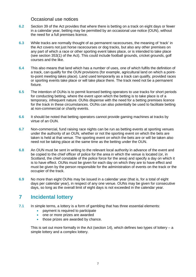#### Occasional use notices

- **6.2** Section 39 of the Act provides that where there is betting on a track on eight days or fewer in a calendar year, betting may be permitted by an occasional use notice (OUN), without the need for a full premises licence.
- **6.3** While tracks are normally thought of as permanent racecourses, the meaning of 'track' in the Act covers not just horse racecourses or dog tracks, but also any other premises on any part of which a race or other sporting event takes place, or is intended to take place (see section 353(1) of the Act). This could include football grounds, cricket grounds, golf courses and the like.
- **6.4** This also means that land which has a number of uses, one of which fulfils the definition of a track, can qualify for the OUN provisions (for example, agricultural land on which a pointto-point meeting takes place). Land used temporarily as a track can qualify, provided races or sporting events take place or will take place there. The track need not be a permanent fixture.
- **6.5** The intention of OUNs is to permit licensed betting operators to use tracks for short periods for conducting betting, where the event upon which the betting is to take place is of a temporary, infrequent nature. OUNs dispense with the need for a betting premises licence for the track in these circumstances. OUNs can also potentially be used to facilitate betting at non-commercial or charity events.
- **6.6** It should be noted that betting operators cannot provide gaming machines at tracks by virtue of an OUN.
- **6.7** Non-commercial, fund raising race nights can be run as betting events at sporting venues under the authority of an OUN, whether or not the sporting event on which the bets are taken is held at that venue. The sporting event on which the bets are or will be taken also need not be taking place at the same time as the betting under the OUN.
- **6.8** An OUN must be sent in writing to the relevant local authority in advance of the event and be copied to the chief officer of police for the area in which the venue is located (or, in Scotland, the chief constable of the police force for the area) and specify a day on which it is to have effect. OUNs must be given for each day on which they are to have effect and must be given by the person responsible for the administration of events on the track or the occupier of the track.
- **6.9** No more than eight OUNs may be issued in a calendar year (that is, for a total of eight days per calendar year), in respect of any one venue. OUNs may be given for consecutive days, so long as the overall limit of eight days is not exceeded in the calendar year.

## **7 Incidental lottery**

- **7.1** In simple terms, a lottery is a form of gambling that has three essential elements:
	- payment is required to participate
	- one or more prizes are awarded
	- those prizes are awarded by chance.

This is set out more formally in the Act (section 14), which defines two types of lottery  $- a$ simple lottery and a complex lottery.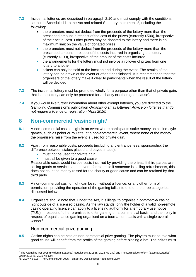- **7.2** Incidental lotteries are described in paragraph 2.10 and must comply with the conditions set out in Schedule 11 to the Act and related Statutory Instruments<sup>[2](#page-7-0)</sup>, including the following:
	- the promoters must not deduct from the proceeds of the lottery more than the prescribed amount in respect of the cost of the prizes (currently £500), irrespective of their actual cost. Other prizes may be donated to the lottery and there is no maximum limit on the value of donated prizes.
	- the promoters must not deduct from the proceeds of the lottery more than the prescribed amount in respect of the costs incurred in organising the lottery (currently £100), irrespective of the amount of the costs incurred
	- the arrangements for the lottery must not involve a rollover of prizes from one lottery to another
	- tickets can only be sold at the location and during the event. The results of the lottery can be drawn at the event or after it has finished. It is recommended that the organisers of the lottery make it clear to participants when the result of the lottery will be decided.
- **7.3** The incidental lottery must be promoted wholly for a purpose other than that of private gain, that is, the lottery can only be promoted for a charity or other 'good cause'.
- **7.4** If you would like further information about other exempt lotteries, you are directed to the Gambling Commission's publication *Organising small lotteries: Advice on lotteries that do not require a licence or registration (April 2016)*.

## **8 Non-commercial 'casino night'**

- **8.1** A non-commercial casino night is an event where participants stake money on casino-style games, such as poker or roulette, at a non-commercial event, where none of the money the organisers raise from the event is used for private gain.
- **8.2** Apart from reasonable costs, proceeds (including any entrance fees, sponsorship, the difference between stakes placed and payout made):
	- must not be used for private gain
	- must all be given to a good cause.

Reasonable costs would include costs incurred by providing the prizes. If third parties are selling goods or services at the event, for example if someone is selling refreshments, this does not count as money raised for the charity or good cause and can be retained by that third party.

- **8.3** A non-commercial casino night can be run without a licence, or any other form of permission, providing the operation of the gaming falls into one of the three categories discussed below.
- **8.4** Organisers should note that, under the Act, it is illegal to organise a *commercial* casino night outside of a licensed casino. As the law stands, only the holder of a valid non-remote casino operating licence can apply to a licensing authority for a temporary use notice (TUN) in respect of other premises to offer gaming on a commercial basis, and then only in respect of equal chance gaming organised on a tournament basis with a single overall winner<sup>[3](#page-7-1)</sup>.

### Non-commercial prize gaming

**8.5** Casino nights can be held as non-commercial prize gaming. The players must be told what good cause will benefit from the profits of the gaming before placing a bet. The prizes must

<span id="page-7-0"></span> $^2$  The Gambling Act 2005 (Incidental Lotteries) Regulations 2016 (SI 2016 No 239) and The Legislative Reform (Exempt Lotteries) Order 2016 (SI 2016 No 124)

<span id="page-7-1"></span><sup>3</sup> SI 2007 No 3157: The Gambling Act 2005 (Temporary Use Notices) Regulations 2007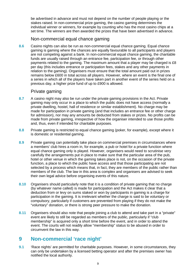be advertised in advance and must not depend on the number of people playing or the stakes raised. In non-commercial prize gaming, the casino gaming determines the individual winner or winners, for example by counting who has the most casino chips at a set time. The winners are then awarded the prizes that have been advertised in advance.

#### Non-commercial equal chance gaming

**8.6** Casino nights can also be run as non-commercial equal chance gaming. Equal chance gaming is gaming where the chances are equally favourable to all participants and players are not competing against a bank. In non-commercial equal chance gaming, the charitable funds are usually raised through an entrance fee, participation fee, or through other payments related to the gaming. The maximum amount that a player may be charged is £8 per day (this includes entrance or participation fees, stakes and any other payments in relation to the gaming). Organisers must ensure that the total amount paid out in prizes remains below £600 in total across all players. However, where an event is the final one of a series in which all of the players have taken part in another event of the series held on a previous day, a higher prize fund of up to £900 is allowed.

#### Private gaming

- **8.7** A casino night may also be run under the private gaming provisions in the Act. Private gaming may only occur in a place to which the public does not have access (normally a private dwelling, hostel, hall of residence or similar establishment). No charge may be made for participation in private gaming (and that includes an entrance fee or other charge for admission), nor may any amounts be deducted from stakes or prizes. No profits can be made from private gaming, irrespective of how the organiser intended to use those profits and, thus, even if intended for charitable purposes.
- **8.8** Private gaming is restricted to equal chance gaming (poker, for example), except where it is domestic or residential gaming.
- **8.9** Private gaming can potentially take place on commercial premises in circumstances where a members' club hires a room in, for example, a pub or hotel for a private function where equal chance gaming only is played. However, organisers would need to scrutinise very carefully the arrangements put in place to make sure that the particular area of the pub, hotel or other venue in which the gaming takes place is not, on the occasion of the private function, a place to which the public have access and that those participating are not selected by a process which means that, in fact, they are members of the public rather than members of the club. The law in this area is complex and organisers are advised to seek their own legal advice before organising events of this nature.
- **8.10** Organisers should particularly note that it is a condition of private gaming that no charge (by whatever name called) is made for participation and the Act makes it clear that a deduction from or levy on sums staked or won by participants in gaming is a charge for participation in the gaming. It is irrelevant whether the charge is said to be voluntary or compulsory, particularly if customers are prevented from playing if they do not make the "voluntary" donation, or there is strong peer pressure to make the donation.
- **8.11** Organisers should also note that people joining a club to attend and take part in a "private" event are likely to still be regarded as members of the public, particularly if "club membership" is acquired only a short time before the event, and in order to attend the event. The courts will not readily allow "membership" status to be abused in order to circumvent the law in this way.

### **9 Non-commercial 'race night'**

**9.1** 'Race nights' are permitted for charitable purposes. However, in some circumstances, they can only be undertaken by a licensed betting operator and after the premises owner has notified the local authority.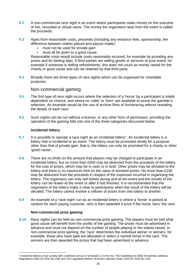- **9.2** A non-commercial race night is an event where participants stake money on the outcome of live, recorded or virtual races. The money the organisers raise from the event is called the proceeds.
- **9.3** Apart from reasonable costs, proceeds (including any entrance fees, sponsorship, the difference between stakes placed and payout made):
	- must not be used for private gain
	- must all be given to a good cause.

Reasonable costs would include costs reasonably incurred, for example by providing any prizes and for betting slips. If third parties are selling goods or services at your event, for example if someone is selling refreshments, this does not count as money raised for the charity or good cause and can be retained by that third party.

**9.4** Broadly there are three types of race nights which can be organised for charitable purposes.

#### Non-commercial gaming

- **9.5** The first type of race night occurs where the selection of a 'horse' by a participant is totally dependent on chance, and where no 'odds' or 'form' are available to assist the gambler's selection. An example would be the use of archive films of horseracing without revealing the details of each race.
- **9.6** Such nights can be run without a licence, or any other form of permission, providing the operation of the gaming falls into one of the three categories discussed below.

#### **Incidental lottery**

- **9.7** It is possible to operate a race night as an incidental lottery<sup>[4](#page-9-0)</sup>. An incidental lottery is a lottery that is incidental to an event. The lottery must be promoted wholly for a purpose other than that of private gain, that is, the lottery can only be promoted for a charity or other 'good cause'.
- **9.8** There are no limits on the amount that players may be charged to participate in an incidental lottery, but no more than £500 may be deducted from the proceeds of the lottery for the cost of prizes, which may be in cash or in kind. Other prizes may be donated to the lottery and there is no maximum limit on the value of donated prizes. No more than £100 may be deducted from the proceeds in respect of the expenses incurred in organising the lottery. The organisers can only sell tickets during and at the event and the results of the lottery can be drawn at the event or after it has finished. It is recommended that the organisers of the lottery make it clear to participants when the result of the lottery will be decided. The lottery cannot involve a rollover of prizes from one lottery to another.
- **9.9** An example of a 'race night' run as an incidental lottery is where a 'horse' is picked at random for each paying customer, who is then awarded a prize if the horse 'wins' the race.

#### **Non-commercial prize gaming**

**9.10** Race nights can be held as non-commercial prize gaming. The players must be told what good cause will benefit from the profits of the gaming. The prizes must be advertised in advance and must not depend on the number of people playing or the stakes raised. In non-commercial prize gaming, the 'race' determines the individual winner or winners, for example, those who have paid are allocated or select a named horse in the race. The winners are then awarded the prizes that had been advertised in advance.

<span id="page-9-0"></span> $\overline{a}$ <sup>4</sup> Incidental lotteries must comply with conditions set out in Schedule 11 to the Act, The Gambling Act 2005 (Incidental Lotteries) Regulations 2016 (SI 2016 No 239) and The Legislative Reform (Exempt Lotteries) Order 2016 (SI 2016 No 124).